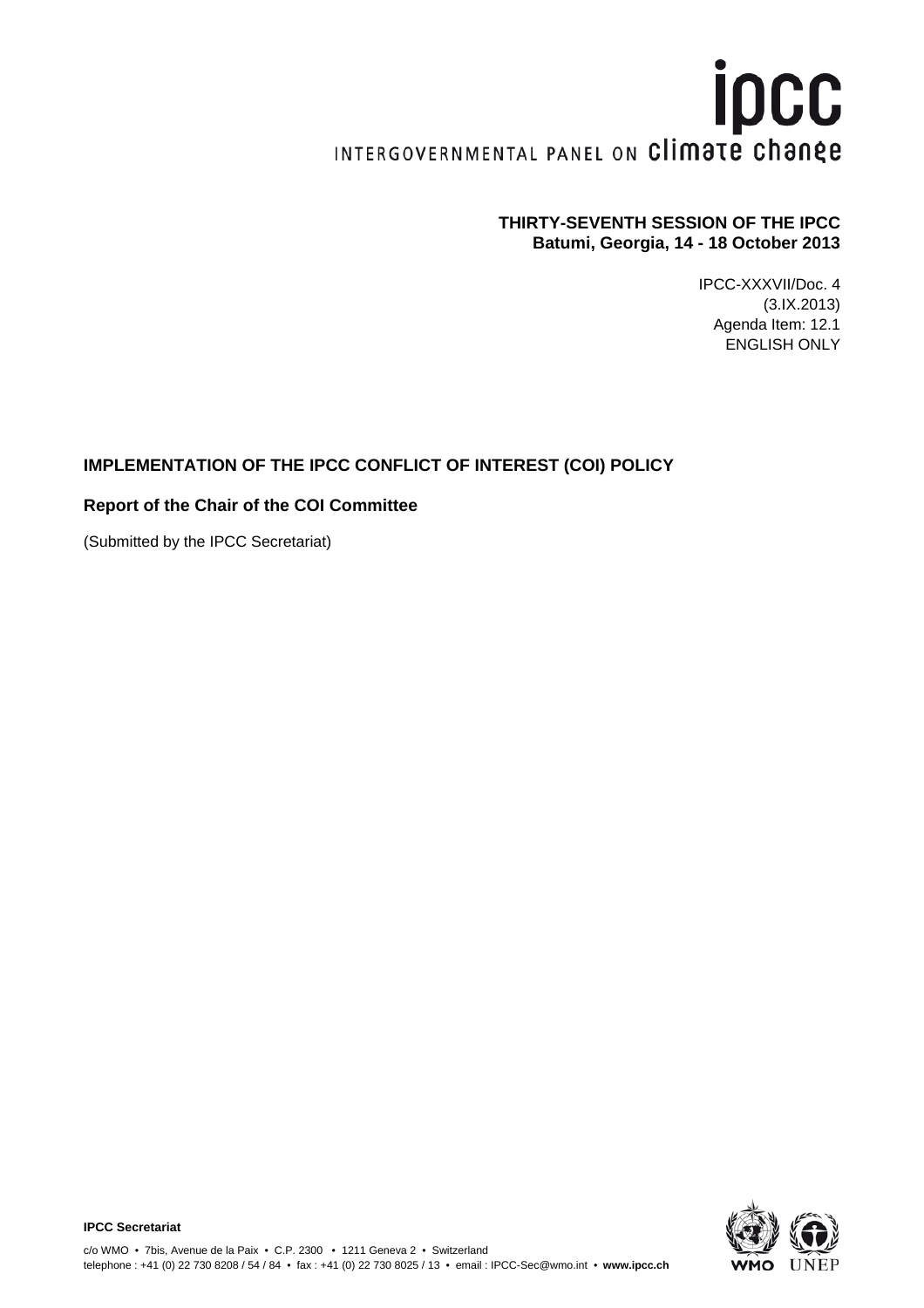# ipcc INTERGOVERNMENTAL PANEL ON Climate change

#### **THIRTY-SEVENTH SESSION OF THE IPCC Batumi, Georgia, 14 - 18 October 2013**

IPCC-XXXVII/Doc. 4 (3.IX.2013) Agenda Item: 12.1 ENGLISH ONLY

## **IMPLEMENTATION OF THE IPCC CONFLICT OF INTEREST (COI) POLICY**

#### **Report of the Chair of the COI Committee**

(Submitted by the IPCC Secretariat)

**IPCC Secretariat**